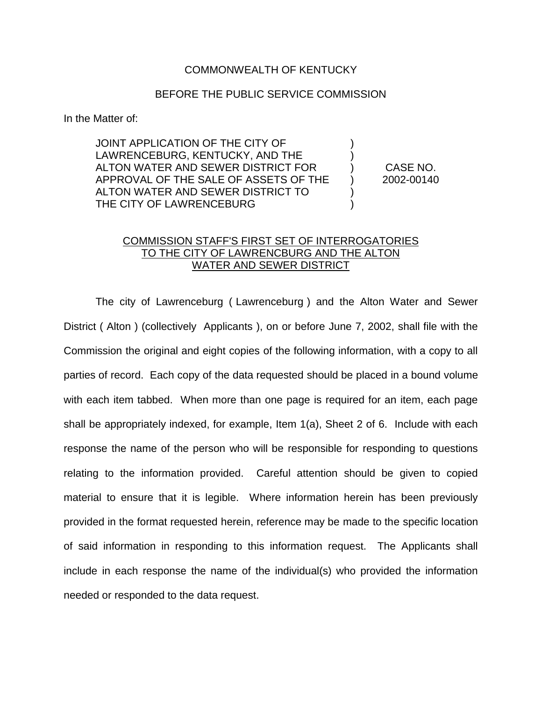## COMMONWEALTH OF KENTUCKY

## BEFORE THE PUBLIC SERVICE COMMISSION

In the Matter of:

JOINT APPLICATION OF THE CITY OF ) LAWRENCEBURG, KENTUCKY, AND THE ALTON WATER AND SEWER DISTRICT FOR ) CASE NO. APPROVAL OF THE SALE OF ASSETS OF THE ) 2002-00140 ALTON WATER AND SEWER DISTRICT TO ) THE CITY OF LAWRENCEBURG

## COMMISSION STAFF'S FIRST SET OF INTERROGATORIES TO THE CITY OF LAWRENCBURG AND THE ALTON WATER AND SEWER DISTRICT

The city of Lawrenceburg ( Lawrenceburg ) and the Alton Water and Sewer District ( Alton ) (collectively Applicants ), on or before June 7, 2002, shall file with the Commission the original and eight copies of the following information, with a copy to all parties of record. Each copy of the data requested should be placed in a bound volume with each item tabbed. When more than one page is required for an item, each page shall be appropriately indexed, for example, Item 1(a), Sheet 2 of 6. Include with each response the name of the person who will be responsible for responding to questions relating to the information provided. Careful attention should be given to copied material to ensure that it is legible. Where information herein has been previously provided in the format requested herein, reference may be made to the specific location of said information in responding to this information request. The Applicants shall include in each response the name of the individual(s) who provided the information needed or responded to the data request.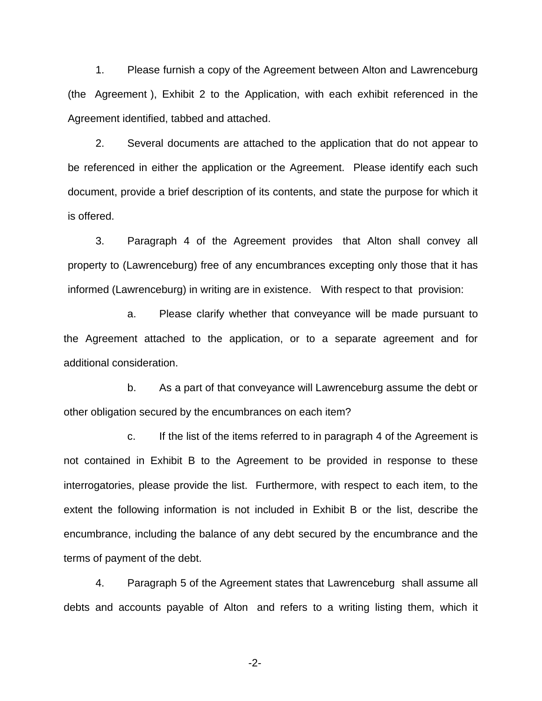1. Please furnish a copy of the Agreement between Alton and Lawrenceburg (the Agreement ), Exhibit 2 to the Application, with each exhibit referenced in the Agreement identified, tabbed and attached.

2. Several documents are attached to the application that do not appear to be referenced in either the application or the Agreement. Please identify each such document, provide a brief description of its contents, and state the purpose for which it is offered.

3. Paragraph 4 of the Agreement provides that Alton shall convey all property to (Lawrenceburg) free of any encumbrances excepting only those that it has informed (Lawrenceburg) in writing are in existence. With respect to that provision:

a. Please clarify whether that conveyance will be made pursuant to the Agreement attached to the application, or to a separate agreement and for additional consideration.

b. As a part of that conveyance will Lawrenceburg assume the debt or other obligation secured by the encumbrances on each item?

c. If the list of the items referred to in paragraph 4 of the Agreement is not contained in Exhibit B to the Agreement to be provided in response to these interrogatories, please provide the list. Furthermore, with respect to each item, to the extent the following information is not included in Exhibit B or the list, describe the encumbrance, including the balance of any debt secured by the encumbrance and the terms of payment of the debt.

4. Paragraph 5 of the Agreement states that Lawrenceburg shall assume all debts and accounts payable of Alton and refers to a writing listing them, which it

-2-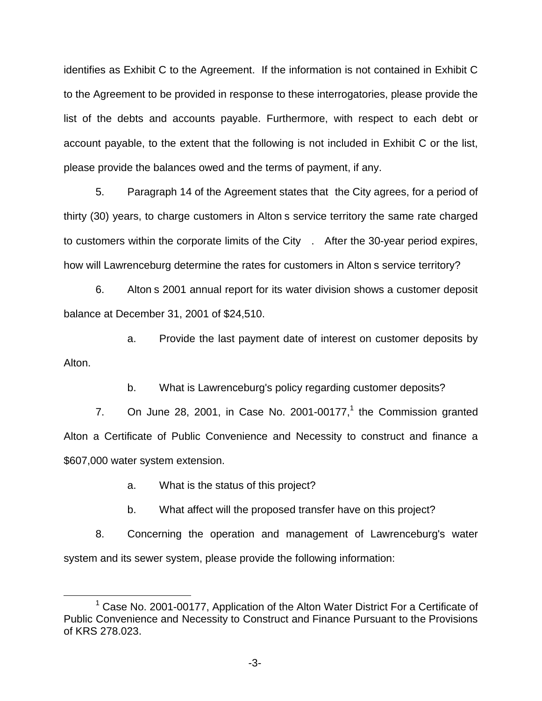identifies as Exhibit C to the Agreement. If the information is not contained in Exhibit C to the Agreement to be provided in response to these interrogatories, please provide the list of the debts and accounts payable. Furthermore, with respect to each debt or account payable, to the extent that the following is not included in Exhibit C or the list, please provide the balances owed and the terms of payment, if any.

5. Paragraph 14 of the Agreement states that the City agrees, for a period of thirty (30) years, to charge customers in Alton s service territory the same rate charged to customers within the corporate limits of the City . After the 30-year period expires, how will Lawrenceburg determine the rates for customers in Alton s service territory?

6. Alton s 2001 annual report for its water division shows a customer deposit balance at December 31, 2001 of \$24,510.

a. Provide the last payment date of interest on customer deposits by Alton.

b. What is Lawrenceburg's policy regarding customer deposits?

7. On June 28, 2001, in Case No. 2001-00177, $<sup>1</sup>$  the Commission granted</sup> Alton a Certificate of Public Convenience and Necessity to construct and finance a \$607,000 water system extension.

a. What is the status of this project?

b. What affect will the proposed transfer have on this project?

8. Concerning the operation and management of Lawrenceburg's water system and its sewer system, please provide the following information:

<sup>&</sup>lt;sup>1</sup> Case No. 2001-00177, Application of the Alton Water District For a Certificate of Public Convenience and Necessity to Construct and Finance Pursuant to the Provisions of KRS 278.023.